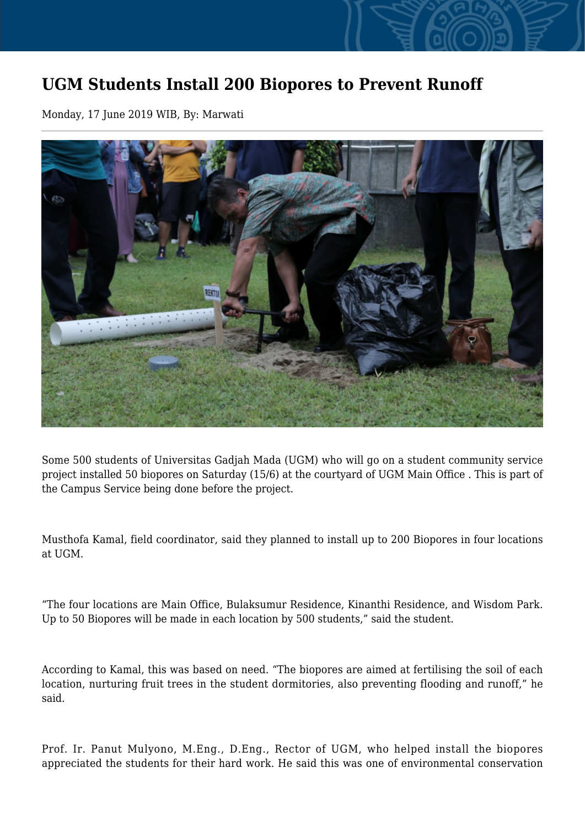## **UGM Students Install 200 Biopores to Prevent Runoff**

Monday, 17 June 2019 WIB, By: Marwati



Some 500 students of Universitas Gadjah Mada (UGM) who will go on a student community service project installed 50 biopores on Saturday (15/6) at the courtyard of UGM Main Office . This is part of the Campus Service being done before the project.

Musthofa Kamal, field coordinator, said they planned to install up to 200 Biopores in four locations at UGM.

"The four locations are Main Office, Bulaksumur Residence, Kinanthi Residence, and Wisdom Park. Up to 50 Biopores will be made in each location by 500 students," said the student.

According to Kamal, this was based on need. "The biopores are aimed at fertilising the soil of each location, nurturing fruit trees in the student dormitories, also preventing flooding and runoff," he said.

Prof. Ir. Panut Mulyono, M.Eng., D.Eng., Rector of UGM, who helped install the biopores appreciated the students for their hard work. He said this was one of environmental conservation